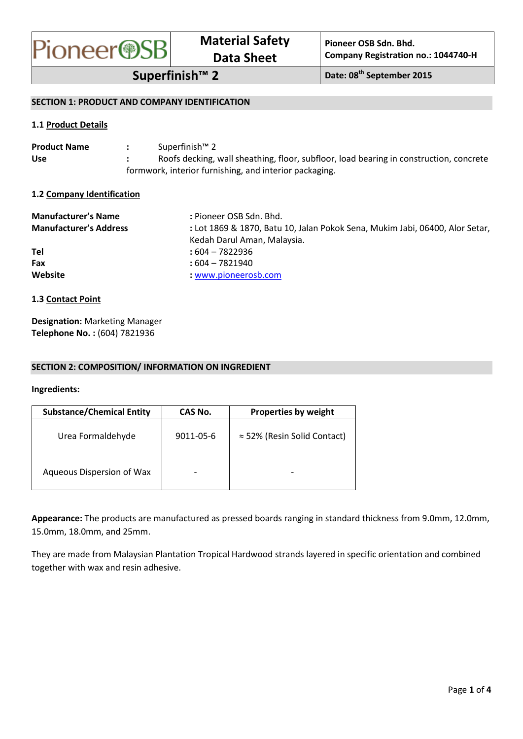

# **SECTION 1: PRODUCT AND COMPANY IDENTIFICATION**

# **1.1 Product Details**

| <b>Product Name</b> | Superfinish™ 2                                                                         |
|---------------------|----------------------------------------------------------------------------------------|
| <b>Use</b>          | Roofs decking, wall sheathing, floor, subfloor, load bearing in construction, concrete |
|                     | formwork, interior furnishing, and interior packaging.                                 |

### **1.2 Company Identification**

| <b>Manufacturer's Name</b><br><b>Manufacturer's Address</b> | : Pioneer OSB Sdn. Bhd.<br>: Lot 1869 & 1870, Batu 10, Jalan Pokok Sena, Mukim Jabi, 06400, Alor Setar,<br>Kedah Darul Aman, Malaysia. |
|-------------------------------------------------------------|----------------------------------------------------------------------------------------------------------------------------------------|
| Tel                                                         | $:604 - 7822936$                                                                                                                       |
| Fax                                                         | : 604 – 7821940                                                                                                                        |
| Website                                                     | : www.pioneerosb.com                                                                                                                   |

### **1.3 Contact Point**

**Designation:** Marketing Manager **Telephone No. :** (604) 7821936

### **SECTION 2: COMPOSITION/ INFORMATION ON INGREDIENT**

### **Ingredients:**

| <b>Substance/Chemical Entity</b> | CAS No.   | <b>Properties by weight</b>         |
|----------------------------------|-----------|-------------------------------------|
| Urea Formaldehyde                | 9011-05-6 | $\approx$ 52% (Resin Solid Contact) |
| Aqueous Dispersion of Wax        |           |                                     |

**Appearance:** The products are manufactured as pressed boards ranging in standard thickness from 9.0mm, 12.0mm, 15.0mm, 18.0mm, and 25mm.

They are made from Malaysian Plantation Tropical Hardwood strands layered in specific orientation and combined together with wax and resin adhesive.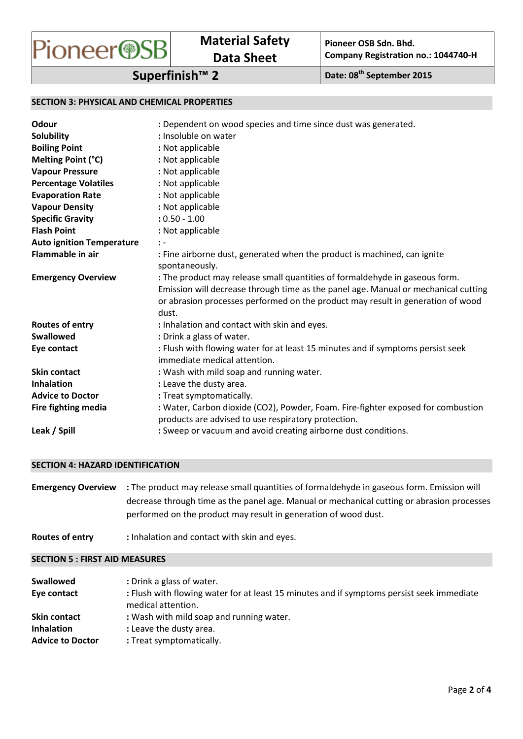

# **SECTION 3: PHYSICAL AND CHEMICAL PROPERTIES**

| Odour                            | : Dependent on wood species and time since dust was generated.                                                                                                                                                                                                |
|----------------------------------|---------------------------------------------------------------------------------------------------------------------------------------------------------------------------------------------------------------------------------------------------------------|
| <b>Solubility</b>                | : Insoluble on water                                                                                                                                                                                                                                          |
| <b>Boiling Point</b>             | : Not applicable                                                                                                                                                                                                                                              |
| Melting Point (°C)               | : Not applicable                                                                                                                                                                                                                                              |
| <b>Vapour Pressure</b>           | : Not applicable                                                                                                                                                                                                                                              |
| <b>Percentage Volatiles</b>      | : Not applicable                                                                                                                                                                                                                                              |
| <b>Evaporation Rate</b>          | : Not applicable                                                                                                                                                                                                                                              |
| <b>Vapour Density</b>            | : Not applicable                                                                                                                                                                                                                                              |
| <b>Specific Gravity</b>          | $: 0.50 - 1.00$                                                                                                                                                                                                                                               |
| <b>Flash Point</b>               | : Not applicable                                                                                                                                                                                                                                              |
| <b>Auto ignition Temperature</b> | $\mathbf{I}$                                                                                                                                                                                                                                                  |
| <b>Flammable in air</b>          | : Fine airborne dust, generated when the product is machined, can ignite<br>spontaneously.                                                                                                                                                                    |
| <b>Emergency Overview</b>        | : The product may release small quantities of formaldehyde in gaseous form.<br>Emission will decrease through time as the panel age. Manual or mechanical cutting<br>or abrasion processes performed on the product may result in generation of wood<br>dust. |
| <b>Routes of entry</b>           | : Inhalation and contact with skin and eyes.                                                                                                                                                                                                                  |
| <b>Swallowed</b>                 | : Drink a glass of water.                                                                                                                                                                                                                                     |
| Eye contact                      | : Flush with flowing water for at least 15 minutes and if symptoms persist seek<br>immediate medical attention.                                                                                                                                               |
| Skin contact                     | : Wash with mild soap and running water.                                                                                                                                                                                                                      |
| <b>Inhalation</b>                | : Leave the dusty area.                                                                                                                                                                                                                                       |
| <b>Advice to Doctor</b>          | : Treat symptomatically.                                                                                                                                                                                                                                      |
| Fire fighting media              | : Water, Carbon dioxide (CO2), Powder, Foam. Fire-fighter exposed for combustion                                                                                                                                                                              |
|                                  | products are advised to use respiratory protection.                                                                                                                                                                                                           |
| Leak / Spill                     | : Sweep or vacuum and avoid creating airborne dust conditions.                                                                                                                                                                                                |

# **SECTION 4: HAZARD IDENTIFICATION**

| <b>Emergency Overview</b> : The product may release small quantities of formaldehyde in gaseous form. Emission will |
|---------------------------------------------------------------------------------------------------------------------|
| decrease through time as the panel age. Manual or mechanical cutting or abrasion processes                          |
| performed on the product may result in generation of wood dust.                                                     |

Routes of entry : Inhalation and contact with skin and eyes.

### **SECTION 5 : FIRST AID MEASURES**

| <b>Swallowed</b>        | : Drink a glass of water.                                                                                       |
|-------------------------|-----------------------------------------------------------------------------------------------------------------|
| Eye contact             | : Flush with flowing water for at least 15 minutes and if symptoms persist seek immediate<br>medical attention. |
| <b>Skin contact</b>     | : Wash with mild soap and running water.                                                                        |
| <b>Inhalation</b>       | : Leave the dusty area.                                                                                         |
| <b>Advice to Doctor</b> | : Treat symptomatically.                                                                                        |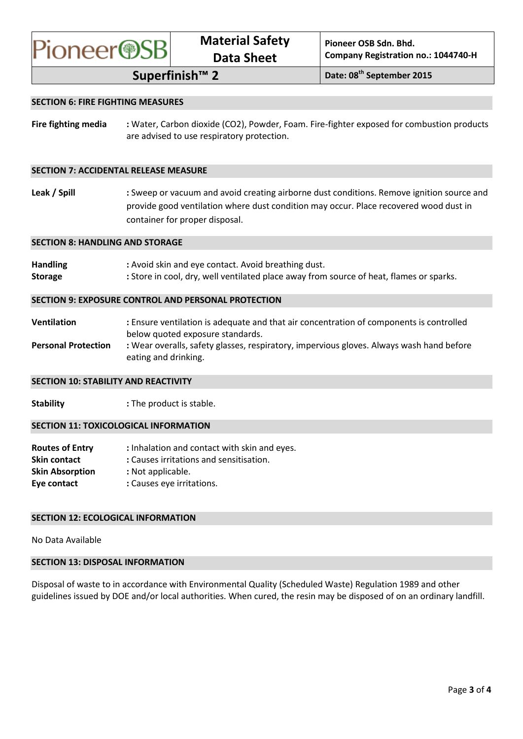

# **SECTION 6: FIRE FIGHTING MEASURES**

**Fire fighting media :** Water, Carbon dioxide (CO2), Powder, Foam. Fire-fighter exposed for combustion products are advised to use respiratory protection.

### **SECTION 7: ACCIDENTAL RELEASE MEASURE**

Leak / Spill : Sweep or vacuum and avoid creating airborne dust conditions. Remove ignition source and provide good ventilation where dust condition may occur. Place recovered wood dust in container for proper disposal.

#### **SECTION 8: HANDLING AND STORAGE**

| <b>Handling</b> | : Avoid skin and eye contact. Avoid breathing dust.                                     |
|-----------------|-----------------------------------------------------------------------------------------|
| <b>Storage</b>  | : Store in cool, dry, well ventilated place away from source of heat, flames or sparks. |

#### **SECTION 9: EXPOSURE CONTROL AND PERSONAL PROTECTION**

**Ventilation :** Ensure ventilation is adequate and that air concentration of components is controlled below quoted exposure standards. Personal Protection : Wear overalls, safety glasses, respiratory, impervious gloves. Always wash hand before eating and drinking.

#### **SECTION 10: STABILITY AND REACTIVITY**

**Stability** : The product is stable.

#### **SECTION 11: TOXICOLOGICAL INFORMATION**

| <b>Routes of Entry</b> | : Inhalation and contact with skin and eyes. |
|------------------------|----------------------------------------------|
| <b>Skin contact</b>    | : Causes irritations and sensitisation.      |
| <b>Skin Absorption</b> | : Not applicable.                            |
| Eye contact            | : Causes eye irritations.                    |

#### **SECTION 12: ECOLOGICAL INFORMATION**

No Data Available

### **SECTION 13: DISPOSAL INFORMATION**

Disposal of waste to in accordance with Environmental Quality (Scheduled Waste) Regulation 1989 and other guidelines issued by DOE and/or local authorities. When cured, the resin may be disposed of on an ordinary landfill.